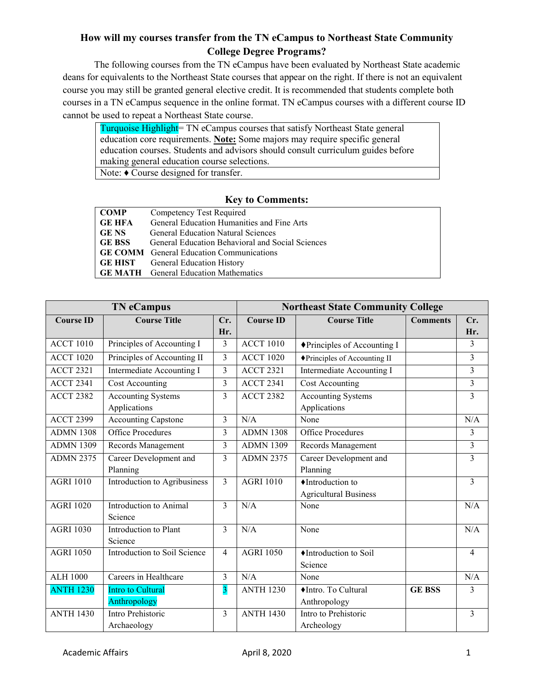## **How will my courses transfer from the TN eCampus to Northeast State Community College Degree Programs?**

The following courses from the TN eCampus have been evaluated by Northeast State academic deans for equivalents to the Northeast State courses that appear on the right. If there is not an equivalent course you may still be granted general elective credit. It is recommended that students complete both courses in a TN eCampus sequence in the online format. TN eCampus courses with a different course ID cannot be used to repeat a Northeast State course.

Turquoise Highlight= TN eCampus courses that satisfy Northeast State general education core requirements. **Note:** Some majors may require specific general education courses. Students and advisors should consult curriculum guides before making general education course selections. Note: ♦ Course designed for transfer.

## **Key to Comments:**

| <b>COMP</b>   | Competency Test Required                         |
|---------------|--------------------------------------------------|
| <b>GE HFA</b> | General Education Humanities and Fine Arts       |
| <b>GE NS</b>  | <b>General Education Natural Sciences</b>        |
| <b>GE BSS</b> | General Education Behavioral and Social Sciences |
|               | <b>GE COMM</b> General Education Communications  |
|               | <b>GE HIST</b> General Education History         |
|               | <b>GE MATH</b> General Education Mathematics     |

|                        | <b>TN</b> eCampus                         |                         |                  | <b>Northeast State Community College</b>          |                 |                |
|------------------------|-------------------------------------------|-------------------------|------------------|---------------------------------------------------|-----------------|----------------|
| <b>Course ID</b>       | <b>Course Title</b>                       | Cr.<br>Hr.              | <b>Course ID</b> | <b>Course Title</b>                               | <b>Comments</b> | Cr.<br>Hr.     |
| <b>ACCT 1010</b>       | Principles of Accounting I                | 3                       | <b>ACCT 1010</b> | ◆Principles of Accounting I                       |                 | 3              |
| <b>ACCT 1020</b>       | Principles of Accounting II               | 3                       | <b>ACCT 1020</b> | ◆Principles of Accounting II                      |                 | 3              |
| $\overline{ACCT}$ 2321 | Intermediate Accounting I                 | 3                       | <b>ACCT 2321</b> | Intermediate Accounting I                         |                 | $\overline{3}$ |
| <b>ACCT 2341</b>       | Cost Accounting                           | 3                       | <b>ACCT 2341</b> | Cost Accounting                                   |                 | 3              |
| <b>ACCT 2382</b>       | <b>Accounting Systems</b><br>Applications | 3                       | <b>ACCT 2382</b> | <b>Accounting Systems</b><br>Applications         |                 | 3              |
| <b>ACCT 2399</b>       | <b>Accounting Capstone</b>                | 3                       | N/A              | None                                              |                 | N/A            |
| <b>ADMN 1308</b>       | <b>Office Procedures</b>                  | 3                       | <b>ADMN 1308</b> | <b>Office Procedures</b>                          |                 | 3              |
| <b>ADMN 1309</b>       | Records Management                        | 3                       | <b>ADMN 1309</b> | Records Management                                |                 | $\overline{3}$ |
| <b>ADMN 2375</b>       | Career Development and<br>Planning        | 3                       | <b>ADMN 2375</b> | Career Development and<br>Planning                |                 | $\overline{3}$ |
| <b>AGRI 1010</b>       | Introduction to Agribusiness              | $\overline{3}$          | <b>AGRI 1010</b> | ♦ Introduction to<br><b>Agricultural Business</b> |                 | $\overline{3}$ |
| <b>AGRI 1020</b>       | Introduction to Animal<br>Science         | 3                       | N/A              | None                                              |                 | N/A            |
| <b>AGRI 1030</b>       | Introduction to Plant<br>Science          | 3                       | N/A              | None                                              |                 | N/A            |
| <b>AGRI 1050</b>       | Introduction to Soil Science              | $\overline{4}$          | <b>AGRI 1050</b> | ♦ Introduction to Soil<br>Science                 |                 | $\overline{4}$ |
| <b>ALH 1000</b>        | Careers in Healthcare                     | 3                       | N/A              | None                                              |                 | N/A            |
| <b>ANTH 1230</b>       | Intro to Cultural<br>Anthropology         | $\overline{\mathbf{3}}$ | <b>ANTH 1230</b> | ♦ Intro. To Cultural<br>Anthropology              | <b>GE BSS</b>   | 3              |
| <b>ANTH 1430</b>       | Intro Prehistoric<br>Archaeology          | $\overline{3}$          | <b>ANTH 1430</b> | Intro to Prehistoric<br>Archeology                |                 | 3              |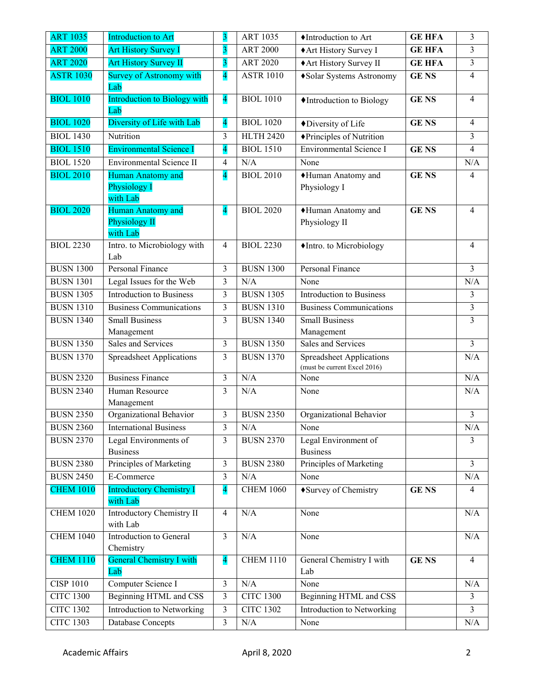| <b>ART 1035</b>  | Introduction to Art                         | 3                        | <b>ART 1035</b>  | ♦Introduction to Art                 | <b>GE HFA</b> | 3                       |
|------------------|---------------------------------------------|--------------------------|------------------|--------------------------------------|---------------|-------------------------|
| <b>ART 2000</b>  | <b>Art History Survey I</b>                 | $\overline{\mathbf{3}}$  | <b>ART 2000</b>  | ◆ Art History Survey I               | <b>GE HFA</b> | 3                       |
| <b>ART 2020</b>  | <b>Art History Survey II</b>                | 3                        | <b>ART 2020</b>  | ◆ Art History Survey II              | <b>GE HFA</b> | 3                       |
| <b>ASTR 1030</b> | <b>Survey of Astronomy with</b>             | $\overline{\mathcal{A}}$ | <b>ASTR 1010</b> | ◆Solar Systems Astronomy             | <b>GENS</b>   | 4                       |
|                  | Lab                                         |                          |                  |                                      |               |                         |
| <b>BIOL 1010</b> | Introduction to Biology with                | $\overline{\mathbf{4}}$  | <b>BIOL 1010</b> | ♦ Introduction to Biology            | <b>GENS</b>   | 4                       |
| <b>BIOL 1020</b> | Lab<br>Diversity of Life with Lab           |                          | <b>BIOL 1020</b> |                                      | <b>GENS</b>   | 4                       |
|                  |                                             | $\overline{\mathbf{4}}$  |                  | ◆Diversity of Life                   |               |                         |
| <b>BIOL 1430</b> | Nutrition                                   | 3                        | <b>HLTH 2420</b> | ◆Principles of Nutrition             |               | 3                       |
| <b>BIOL 1510</b> | <b>Environmental Science I</b>              | $\overline{\mathcal{A}}$ | <b>BIOL 1510</b> | <b>Environmental Science I</b>       | <b>GENS</b>   | $\overline{\mathbf{4}}$ |
| <b>BIOL 1520</b> | Environmental Science II                    | 4                        | N/A              | None                                 |               | N/A                     |
| <b>BIOL 2010</b> | Human Anatomy and                           | $\overline{\mathcal{A}}$ | <b>BIOL 2010</b> | ◆Human Anatomy and                   | <b>GENS</b>   | $\overline{4}$          |
|                  | Physiology I                                |                          |                  | Physiology I                         |               |                         |
| <b>BIOL 2020</b> | with Lab<br>Human Anatomy and               | $\overline{\mathbf{4}}$  | <b>BIOL 2020</b> |                                      | <b>GENS</b>   | 4                       |
|                  | Physiology II                               |                          |                  | ◆Human Anatomy and<br>Physiology II  |               |                         |
|                  | with Lab                                    |                          |                  |                                      |               |                         |
| <b>BIOL 2230</b> | Intro. to Microbiology with                 | 4                        | <b>BIOL 2230</b> | •Intro. to Microbiology              |               | $\overline{4}$          |
|                  | Lab                                         |                          |                  |                                      |               |                         |
| <b>BUSN 1300</b> | Personal Finance                            | 3                        | <b>BUSN 1300</b> | <b>Personal Finance</b>              |               | 3                       |
| <b>BUSN 1301</b> | Legal Issues for the Web                    | 3                        | N/A              | None                                 |               | N/A                     |
| <b>BUSN 1305</b> | <b>Introduction to Business</b>             | 3                        | <b>BUSN 1305</b> | <b>Introduction to Business</b>      |               | 3                       |
| <b>BUSN 1310</b> | <b>Business Communications</b>              | $\overline{\mathbf{3}}$  | <b>BUSN 1310</b> | <b>Business Communications</b>       |               | 3                       |
| <b>BUSN 1340</b> | <b>Small Business</b>                       | 3                        | <b>BUSN 1340</b> | <b>Small Business</b>                |               | 3                       |
|                  | Management                                  |                          |                  | Management                           |               |                         |
| <b>BUSN 1350</b> | Sales and Services                          | $\overline{\mathbf{3}}$  | <b>BUSN 1350</b> | Sales and Services                   |               | 3                       |
| <b>BUSN 1370</b> | <b>Spreadsheet Applications</b>             | 3                        | <b>BUSN 1370</b> | <b>Spreadsheet Applications</b>      |               | N/A                     |
| <b>BUSN 2320</b> | <b>Business Finance</b>                     | $\mathfrak{Z}$           | N/A              | (must be current Excel 2016)<br>None |               | N/A                     |
| <b>BUSN 2340</b> | Human Resource                              | 3                        | N/A              | None                                 |               | N/A                     |
|                  | Management                                  |                          |                  |                                      |               |                         |
| <b>BUSN 2350</b> | Organizational Behavior                     | 3                        | <b>BUSN 2350</b> | Organizational Behavior              |               | 3                       |
| <b>BUSN 2360</b> | <b>International Business</b>               | 3                        | N/A              | None                                 |               | N/A                     |
| <b>BUSN 2370</b> | Legal Environments of                       | 3                        | <b>BUSN 2370</b> | Legal Environment of                 |               | 3                       |
|                  | <b>Business</b>                             |                          |                  | <b>Business</b>                      |               |                         |
| <b>BUSN 2380</b> | Principles of Marketing                     | 3                        | <b>BUSN 2380</b> | Principles of Marketing              |               | 3                       |
| <b>BUSN 2450</b> | E-Commerce                                  | 3                        | N/A              | None                                 |               | N/A                     |
| <b>CHEM 1010</b> | <b>Introductory Chemistry I</b><br>with Lab | $\overline{\mathbf{4}}$  | <b>CHEM 1060</b> | ◆ Survey of Chemistry                | <b>GENS</b>   | 4                       |
| <b>CHEM 1020</b> | Introductory Chemistry II                   | 4                        | N/A              | None                                 |               | N/A                     |
|                  | with Lab                                    |                          |                  |                                      |               |                         |
| <b>CHEM 1040</b> | Introduction to General                     | $\overline{\mathbf{3}}$  | N/A              | None                                 |               | $\rm N/A$               |
|                  | Chemistry                                   |                          |                  |                                      |               |                         |
| <b>CHEM 1110</b> | <b>General Chemistry I with</b>             | $\overline{\mathbf{4}}$  | <b>CHEM 1110</b> | General Chemistry I with             | <b>GENS</b>   | $\overline{4}$          |
|                  | Lab                                         |                          |                  | Lab                                  |               |                         |
| <b>CISP 1010</b> | Computer Science I                          | $\overline{\mathbf{3}}$  | N/A              | None                                 |               | N/A                     |
| <b>CITC 1300</b> | Beginning HTML and CSS                      | 3                        | <b>CITC 1300</b> | Beginning HTML and CSS               |               | 3                       |
| <b>CITC 1302</b> | Introduction to Networking                  | $\overline{\mathbf{3}}$  | <b>CITC 1302</b> | Introduction to Networking           |               | 3                       |
| <b>CITC 1303</b> | Database Concepts                           | 3                        | N/A              | None                                 |               | N/A                     |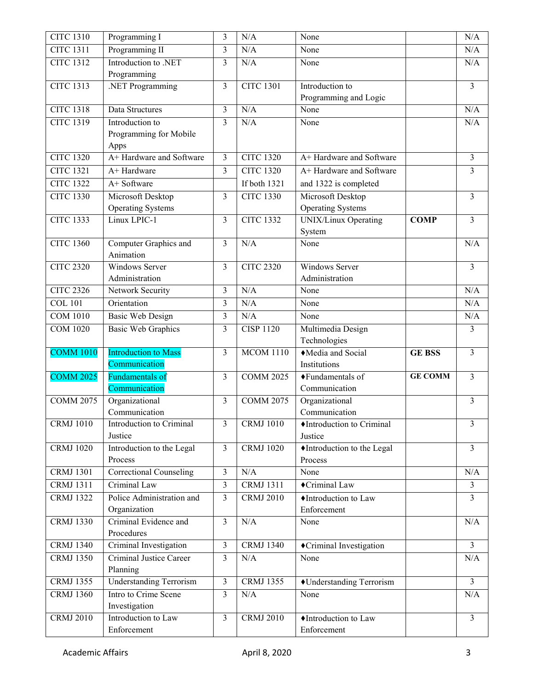| <b>CITC 1310</b> | Programming I                            | $\mathfrak{Z}$          | N/A                    | None                                                    |                | N/A            |
|------------------|------------------------------------------|-------------------------|------------------------|---------------------------------------------------------|----------------|----------------|
| <b>CITC 1311</b> | Programming II                           | 3                       | N/A                    | None                                                    |                | N/A            |
| <b>CITC 1312</b> | Introduction to .NET                     | 3                       | N/A                    | None                                                    |                | N/A            |
|                  | Programming                              |                         |                        |                                                         |                |                |
| <b>CITC 1313</b> | .NET Programming                         | $\overline{3}$          | <b>CITC 1301</b>       | Introduction to                                         |                | 3              |
|                  |                                          |                         |                        | Programming and Logic                                   |                |                |
| <b>CITC 1318</b> | Data Structures                          | 3                       | N/A                    | None                                                    |                | N/A            |
| <b>CITC 1319</b> | Introduction to                          | $\overline{3}$          | N/A                    | None                                                    |                | N/A            |
|                  | Programming for Mobile                   |                         |                        |                                                         |                |                |
|                  | Apps<br>A+ Hardware and Software         |                         |                        |                                                         |                |                |
| <b>CITC 1320</b> |                                          | $\mathfrak{Z}$          | <b>CITC 1320</b>       | A+ Hardware and Software                                |                | 3              |
| <b>CITC 1321</b> | A+ Hardware                              | 3                       | <b>CITC 1320</b>       | A+ Hardware and Software                                |                | 3              |
| <b>CITC 1322</b> | A+ Software                              |                         | If both 1321           | and 1322 is completed                                   |                |                |
| <b>CITC 1330</b> | Microsoft Desktop                        | $\overline{3}$          | <b>CITC 1330</b>       | Microsoft Desktop                                       |                | $\overline{3}$ |
| <b>CITC 1333</b> | <b>Operating Systems</b><br>Linux LPIC-1 | $\overline{3}$          | <b>CITC 1332</b>       | <b>Operating Systems</b><br><b>UNIX/Linux Operating</b> | <b>COMP</b>    | 3              |
|                  |                                          |                         |                        | System                                                  |                |                |
| <b>CITC 1360</b> | Computer Graphics and                    | 3                       | N/A                    | None                                                    |                | N/A            |
|                  | Animation                                |                         |                        |                                                         |                |                |
| <b>CITC 2320</b> | Windows Server                           | $\overline{\mathbf{3}}$ | <b>CITC 2320</b>       | <b>Windows Server</b>                                   |                | 3              |
|                  | Administration                           |                         |                        | Administration                                          |                |                |
| <b>CITC 2326</b> | Network Security                         | $\overline{3}$          | N/A                    | None                                                    |                | N/A            |
| <b>COL 101</b>   | Orientation                              | 3                       | N/A                    | None                                                    |                | N/A            |
| <b>COM 1010</b>  | <b>Basic Web Design</b>                  | 3                       | N/A                    | None                                                    |                | N/A            |
| <b>COM 1020</b>  | <b>Basic Web Graphics</b>                | 3                       | <b>CISP 1120</b>       | Multimedia Design                                       |                | 3              |
|                  |                                          |                         |                        | Technologies                                            |                |                |
| <b>COMM 1010</b> | <b>Introduction to Mass</b>              | 3                       | <b>MCOM 1110</b>       | $\sqrt{\text{Media and Social}}$                        | <b>GE BSS</b>  | 3              |
|                  | Communication                            |                         |                        | Institutions                                            |                |                |
| <b>COMM 2025</b> | Fundamentals of                          | $\overline{3}$          | $\overline{COMM}$ 2025 | ◆Fundamentals of                                        | <b>GE COMM</b> | 3              |
|                  | Communication                            |                         |                        | Communication                                           |                |                |
| <b>COMM 2075</b> | Organizational                           | 3                       | <b>COMM 2075</b>       | Organizational                                          |                | 3              |
|                  | Communication                            |                         |                        | Communication                                           |                |                |
| <b>CRMJ</b> 1010 | Introduction to Criminal<br>Justice      | 3                       | <b>CRMJ</b> 1010       | ♦ Introduction to Criminal                              |                | 3              |
| <b>CRMJ</b> 1020 | Introduction to the Legal                | $\overline{\mathbf{3}}$ | <b>CRMJ</b> 1020       | Justice<br>Introduction to the Legal                    |                | $\overline{3}$ |
|                  | Process                                  |                         |                        | Process                                                 |                |                |
| <b>CRMJ 1301</b> | <b>Correctional Counseling</b>           | 3                       | N/A                    | None                                                    |                | N/A            |
| <b>CRMJ 1311</b> | Criminal Law                             | 3                       | <b>CRMJ 1311</b>       | ◆Criminal Law                                           |                | 3              |
| <b>CRMJ 1322</b> | Police Administration and                | 3                       | <b>CRMJ 2010</b>       | ♦Introduction to Law                                    |                | 3              |
|                  |                                          |                         |                        |                                                         |                |                |
|                  |                                          |                         |                        |                                                         |                |                |
|                  | Organization                             |                         |                        | Enforcement                                             |                |                |
| <b>CRMJ 1330</b> | Criminal Evidence and<br>Procedures      | $\overline{\mathbf{3}}$ | N/A                    | None                                                    |                | N/A            |
| <b>CRMJ 1340</b> | Criminal Investigation                   | 3                       | <b>CRMJ 1340</b>       | Criminal Investigation                                  |                | 3              |
| <b>CRMJ 1350</b> | Criminal Justice Career                  | 3                       | N/A                    | None                                                    |                | N/A            |
|                  | Planning                                 |                         |                        |                                                         |                |                |
| <b>CRMJ</b> 1355 | <b>Understanding Terrorism</b>           | $\mathfrak{Z}$          | <b>CRMJ 1355</b>       | ◆Understanding Terrorism                                |                | 3              |
| <b>CRMJ 1360</b> | Intro to Crime Scene                     | 3                       | N/A                    | None                                                    |                | N/A            |
|                  | Investigation                            |                         |                        |                                                         |                |                |
| <b>CRMJ 2010</b> | Introduction to Law<br>Enforcement       | 3                       | <b>CRMJ 2010</b>       | ♦Introduction to Law<br>Enforcement                     |                | 3              |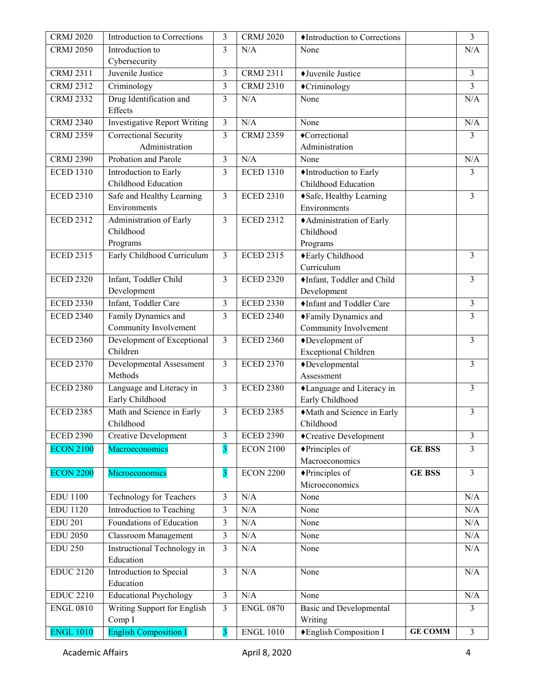| <b>CRMJ 2020</b> | Introduction to Corrections               | 3                       | <b>CRMJ 2020</b> | ♦ Introduction to Corrections         |                | 3              |
|------------------|-------------------------------------------|-------------------------|------------------|---------------------------------------|----------------|----------------|
| <b>CRMJ 2050</b> | Introduction to                           | 3                       | N/A              | None                                  |                | N/A            |
|                  | Cybersecurity                             |                         |                  |                                       |                |                |
| <b>CRMJ 2311</b> | Juvenile Justice                          | $\mathfrak{Z}$          | <b>CRMJ 2311</b> | ◆Juvenile Justice                     |                | 3              |
| <b>CRMJ 2312</b> | Criminology                               | 3                       | <b>CRMJ 2310</b> | ◆Criminology                          |                | 3              |
| <b>CRMJ 2332</b> | Drug Identification and                   | 3                       | N/A              | None                                  |                | N/A            |
|                  | Effects                                   |                         |                  |                                       |                |                |
| <b>CRMJ 2340</b> | <b>Investigative Report Writing</b>       | 3                       | N/A              | None                                  |                | N/A            |
| <b>CRMJ 2359</b> | Correctional Security                     | 3                       | <b>CRMJ 2359</b> | ◆Correctional                         |                | 3              |
|                  | Administration                            |                         |                  | Administration                        |                |                |
| <b>CRMJ 2390</b> | Probation and Parole                      | 3                       | N/A              | None                                  |                | N/A            |
| <b>ECED 1310</b> | Introduction to Early                     | 3                       | <b>ECED 1310</b> | ♦ Introduction to Early               |                | 3              |
|                  | Childhood Education                       |                         |                  | Childhood Education                   |                |                |
| <b>ECED 2310</b> | Safe and Healthy Learning<br>Environments | 3                       | <b>ECED 2310</b> | ◆ Safe, Healthy Learning              |                | 3              |
| <b>ECED 2312</b> |                                           | $\overline{3}$          | <b>ECED 2312</b> | Environments                          |                |                |
|                  | Administration of Early<br>Childhood      |                         |                  | +Administration of Early<br>Childhood |                |                |
|                  | Programs                                  |                         |                  | Programs                              |                |                |
| <b>ECED 2315</b> | Early Childhood Curriculum                | 3                       | <b>ECED 2315</b> | ◆Early Childhood                      |                | 3              |
|                  |                                           |                         |                  | Curriculum                            |                |                |
| <b>ECED 2320</b> | Infant, Toddler Child                     | 3                       | <b>ECED 2320</b> | Infant, Toddler and Child             |                | 3              |
|                  | Development                               |                         |                  | Development                           |                |                |
| <b>ECED 2330</b> | Infant, Toddler Care                      | $\overline{\mathbf{3}}$ | <b>ECED 2330</b> | Infant and Toddler Care               |                | 3              |
| <b>ECED 2340</b> | Family Dynamics and                       | 3                       | <b>ECED 2340</b> | ◆Family Dynamics and                  |                | 3              |
|                  | Community Involvement                     |                         |                  | Community Involvement                 |                |                |
| <b>ECED 2360</b> | Development of Exceptional                | $\overline{3}$          | <b>ECED 2360</b> | ◆Development of                       |                | 3              |
|                  | Children                                  |                         |                  | <b>Exceptional Children</b>           |                |                |
| <b>ECED 2370</b> | Developmental Assessment                  | 3                       | <b>ECED 2370</b> | ◆Developmental                        |                | 3              |
|                  | Methods                                   |                         |                  | Assessment                            |                |                |
| <b>ECED 2380</b> | Language and Literacy in                  | 3                       | <b>ECED 2380</b> | Language and Literacy in              |                | 3              |
|                  | Early Childhood                           |                         |                  | Early Childhood                       |                |                |
| <b>ECED 2385</b> | Math and Science in Early                 | 3                       | <b>ECED 2385</b> | Math and Science in Early             |                | 3              |
|                  | Childhood                                 |                         |                  | Childhood                             |                |                |
| <b>ECED 2390</b> | <b>Creative Development</b>               | 3                       | <b>ECED 2390</b> | ◆Creative Development                 |                | 3              |
| <b>ECON 2100</b> | Macroeconomics                            | $\overline{\mathbf{3}}$ | <b>ECON 2100</b> | ◆Principles of                        | <b>GE BSS</b>  | 3              |
|                  |                                           |                         |                  | Macroeconomics                        |                |                |
| <b>ECON 2200</b> | Microeconomics                            | $\overline{\mathbf{3}}$ | <b>ECON 2200</b> | $\blacklozenge$ Principles of         | <b>GE BSS</b>  | 3              |
|                  |                                           |                         |                  | Microeconomics                        |                |                |
| <b>EDU 1100</b>  | Technology for Teachers                   | $\overline{\mathbf{3}}$ | N/A              | None                                  |                | N/A            |
| <b>EDU 1120</b>  | Introduction to Teaching                  | $\overline{\mathbf{3}}$ | N/A              | None                                  |                | N/A            |
| <b>EDU 201</b>   | Foundations of Education                  | $\mathfrak{Z}$          | N/A              | None                                  |                | N/A            |
| <b>EDU 2050</b>  | <b>Classroom Management</b>               | 3                       | $\rm N/A$        | None                                  |                | N/A            |
| <b>EDU 250</b>   | Instructional Technology in<br>Education  | 3                       | N/A              | None                                  |                | $\rm N/A$      |
| <b>EDUC 2120</b> | Introduction to Special                   | 3                       | N/A              | None                                  |                | N/A            |
|                  | Education                                 |                         |                  |                                       |                |                |
| <b>EDUC 2210</b> | <b>Educational Psychology</b>             | $\mathfrak{Z}$          | N/A              | None                                  |                | N/A            |
| <b>ENGL 0810</b> | Writing Support for English               | 3                       | <b>ENGL 0870</b> | <b>Basic and Developmental</b>        |                | 3              |
|                  | Comp I                                    |                         |                  | Writing                               |                |                |
| <b>ENGL 1010</b> | <b>English Composition I</b>              | $\overline{\mathbf{3}}$ | <b>ENGL 1010</b> | ◆ English Composition I               | <b>GE COMM</b> | $\overline{3}$ |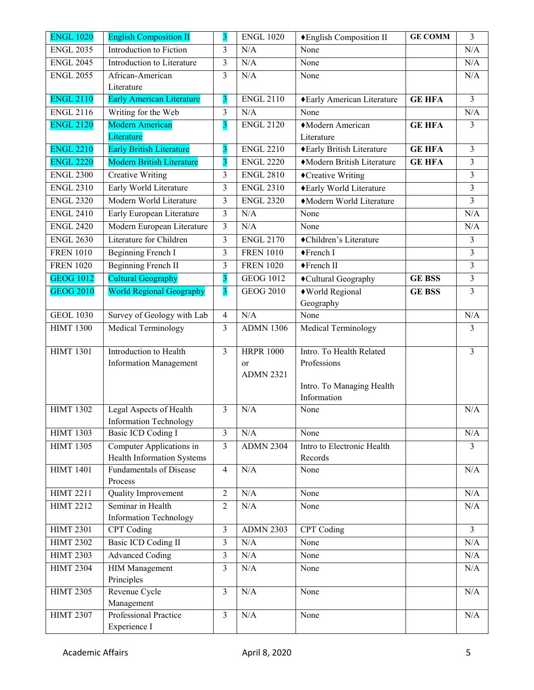| <b>ENGL 1020</b> | <b>English Composition II</b>                                | 3                       | <b>ENGL 1020</b> | ◆English Composition II    | <b>GE COMM</b> | 3                       |
|------------------|--------------------------------------------------------------|-------------------------|------------------|----------------------------|----------------|-------------------------|
| <b>ENGL 2035</b> | Introduction to Fiction                                      | 3                       | N/A              | None                       |                | N/A                     |
| <b>ENGL 2045</b> | Introduction to Literature                                   | $\overline{\mathbf{3}}$ | N/A              | None                       |                | N/A                     |
| <b>ENGL 2055</b> | African-American                                             | 3                       | N/A              | None                       |                | N/A                     |
|                  | Literature                                                   |                         |                  |                            |                |                         |
| <b>ENGL 2110</b> | <b>Early American Literature</b>                             | 3                       | <b>ENGL 2110</b> | ◆Early American Literature | <b>GE HFA</b>  | 3                       |
| <b>ENGL 2116</b> | Writing for the Web                                          | 3                       | N/A              | None                       |                | N/A                     |
| <b>ENGL 2120</b> | <b>Modern American</b>                                       | $\overline{\mathbf{3}}$ | <b>ENGL 2120</b> | Modern American            | <b>GE HFA</b>  | 3                       |
|                  | Literature                                                   |                         |                  | Literature                 |                |                         |
| <b>ENGL 2210</b> | <b>Early British Literature</b>                              | $\overline{\mathbf{3}}$ | <b>ENGL 2210</b> | ◆ Early British Literature | <b>GE HFA</b>  | 3                       |
| <b>ENGL 2220</b> | <b>Modern British Literature</b>                             | 3                       | <b>ENGL 2220</b> | Modern British Literature  | <b>GE HFA</b>  | 3                       |
| <b>ENGL 2300</b> | <b>Creative Writing</b>                                      | 3                       | <b>ENGL 2810</b> | ◆Creative Writing          |                | 3                       |
| <b>ENGL 2310</b> | Early World Literature                                       | 3                       | <b>ENGL 2310</b> | ◆Early World Literature    |                | 3                       |
| <b>ENGL 2320</b> | Modern World Literature                                      | 3                       | <b>ENGL 2320</b> | Modern World Literature    |                | $\overline{3}$          |
| <b>ENGL 2410</b> | Early European Literature                                    | 3                       | N/A              | None                       |                | N/A                     |
| <b>ENGL 2420</b> | Modern European Literature                                   | 3                       | N/A              | None                       |                | N/A                     |
| <b>ENGL 2630</b> | Literature for Children                                      | 3                       | <b>ENGL 2170</b> | ◆Children's Literature     |                | 3                       |
| <b>FREN 1010</b> | Beginning French I                                           | 3                       | <b>FREN 1010</b> | ◆French I                  |                | $\overline{3}$          |
| <b>FREN 1020</b> | Beginning French II                                          | 3                       | <b>FREN 1020</b> | ◆French II                 |                | 3                       |
| <b>GEOG 1012</b> | <b>Cultural Geography</b>                                    | $\overline{\mathbf{3}}$ | <b>GEOG 1012</b> | ◆Cultural Geography        | <b>GE BSS</b>  | 3                       |
| <b>GEOG 2010</b> | <b>World Regional Geography</b>                              | $\overline{\mathbf{3}}$ | <b>GEOG 2010</b> | ◆World Regional            | <b>GE BSS</b>  | $\overline{\mathbf{3}}$ |
|                  |                                                              |                         |                  | Geography                  |                |                         |
| <b>GEOL 1030</b> | Survey of Geology with Lab                                   | $\overline{\mathbf{4}}$ | N/A              | None                       |                | N/A                     |
| <b>HIMT 1300</b> | <b>Medical Terminology</b>                                   | 3                       | <b>ADMN 1306</b> | Medical Terminology        |                | 3                       |
| <b>HIMT 1301</b> | Introduction to Health                                       | 3                       | <b>HRPR 1000</b> | Intro. To Health Related   |                | 3                       |
|                  | <b>Information Management</b>                                |                         | or               | Professions                |                |                         |
|                  |                                                              |                         | <b>ADMN 2321</b> |                            |                |                         |
|                  |                                                              |                         |                  | Intro. To Managing Health  |                |                         |
|                  |                                                              |                         |                  | Information                |                |                         |
| <b>HIMT 1302</b> | Legal Aspects of Health                                      | 3                       | N/A              | None                       |                | N/A                     |
|                  | <b>Information Technology</b>                                |                         |                  |                            |                |                         |
| <b>HIMT 1303</b> | Basic ICD Coding I                                           | 3                       | N/A              | None                       |                | $\rm N/A$               |
| <b>HIMT 1305</b> | Computer Applications in                                     | 3                       | <b>ADMN 2304</b> | Intro to Electronic Health |                | 3                       |
| <b>HIMT 1401</b> | Health Information Systems<br><b>Fundamentals of Disease</b> | $\overline{4}$          | N/A              | Records<br>None            |                | N/A                     |
|                  | Process                                                      |                         |                  |                            |                |                         |
| <b>HIMT 2211</b> | Quality Improvement                                          | $\overline{2}$          | N/A              | None                       |                | N/A                     |
| <b>HIMT 2212</b> | Seminar in Health                                            | $\overline{c}$          | N/A              | None                       |                | N/A                     |
|                  | <b>Information Technology</b>                                |                         |                  |                            |                |                         |
| <b>HIMT 2301</b> | CPT Coding                                                   | $\overline{\mathbf{3}}$ | <b>ADMN 2303</b> | CPT Coding                 |                | $\overline{3}$          |
| <b>HIMT 2302</b> | Basic ICD Coding II                                          | $\overline{\mathbf{3}}$ | N/A              | None                       |                | N/A                     |
| <b>HIMT 2303</b> | <b>Advanced Coding</b>                                       | 3                       | N/A              | None                       |                | N/A                     |
| <b>HIMT 2304</b> | <b>HIM Management</b>                                        | 3                       | N/A              | None                       |                | N/A                     |
|                  | Principles                                                   |                         |                  |                            |                |                         |
| <b>HIMT 2305</b> | Revenue Cycle                                                | 3                       | N/A              | None                       |                | N/A                     |
|                  | Management                                                   |                         |                  |                            |                |                         |
| <b>HIMT 2307</b> | Professional Practice                                        | 3                       | N/A              | None                       |                | N/A                     |
|                  | Experience I                                                 |                         |                  |                            |                |                         |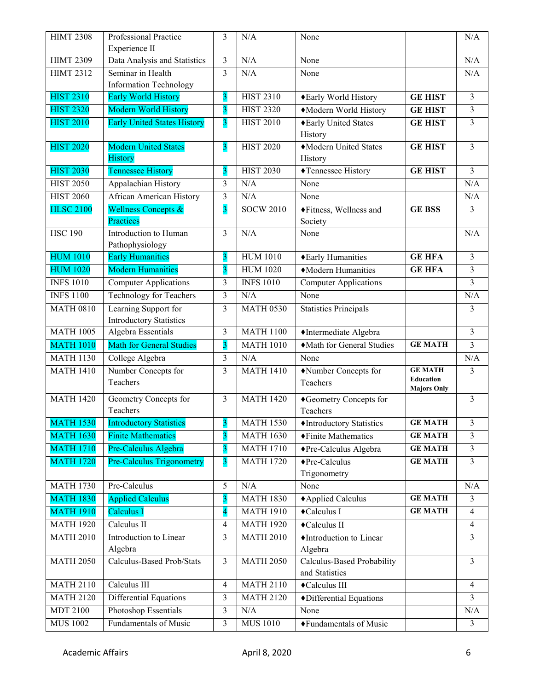| <b>HIMT 2308</b> | Professional Practice<br>Experience II                 | 3                       | N/A              | None                                    |                                        | N/A                     |
|------------------|--------------------------------------------------------|-------------------------|------------------|-----------------------------------------|----------------------------------------|-------------------------|
| <b>HIMT 2309</b> | Data Analysis and Statistics                           | 3                       | N/A              | None                                    |                                        | N/A                     |
| <b>HIMT 2312</b> | Seminar in Health                                      | 3                       | N/A              | None                                    |                                        | N/A                     |
|                  | <b>Information Technology</b>                          |                         |                  |                                         |                                        |                         |
| <b>HIST 2310</b> | Early World History                                    | $\overline{\mathbf{3}}$ | <b>HIST 2310</b> | ◆Early World History                    | <b>GE HIST</b>                         | $\overline{\mathbf{3}}$ |
| <b>HIST 2320</b> | Modern World History                                   | $\overline{\mathbf{3}}$ | <b>HIST 2320</b> | Modern World History                    | <b>GE HIST</b>                         | $\overline{\mathbf{3}}$ |
| <b>HIST 2010</b> | <b>Early United States History</b>                     | $\overline{\mathbf{3}}$ | <b>HIST 2010</b> | ◆Early United States                    | <b>GE HIST</b>                         | $\overline{3}$          |
|                  |                                                        |                         |                  | History                                 |                                        |                         |
| <b>HIST 2020</b> | <b>Modern United States</b>                            | $\overline{\mathbf{3}}$ | <b>HIST 2020</b> | Modern United States                    | <b>GE HIST</b>                         | $\overline{3}$          |
|                  | <b>History</b>                                         |                         |                  | History                                 |                                        |                         |
| <b>HIST 2030</b> | <b>Tennessee History</b>                               | $\overline{3}$          | <b>HIST 2030</b> | ◆Tennessee History                      | <b>GE HIST</b>                         | $\overline{3}$          |
| <b>HIST 2050</b> | Appalachian History                                    | 3                       | N/A              | None                                    |                                        | N/A                     |
| <b>HIST 2060</b> | <b>African American History</b>                        | 3                       | N/A              | None                                    |                                        | N/A                     |
| <b>HLSC 2100</b> | Wellness Concepts &                                    | $\overline{\mathbf{3}}$ | <b>SOCW 2010</b> | ◆Fitness, Wellness and                  | <b>GE BSS</b>                          | 3                       |
|                  | Practices                                              |                         |                  | Society                                 |                                        |                         |
| <b>HSC 190</b>   | Introduction to Human                                  | 3                       | N/A              | None                                    |                                        | N/A                     |
|                  | Pathophysiology                                        |                         |                  |                                         |                                        |                         |
| <b>HUM 1010</b>  | <b>Early Humanities</b>                                | 3                       | <b>HUM 1010</b>  | ◆ Early Humanities                      | <b>GE HFA</b>                          | 3                       |
| <b>HUM 1020</b>  | <b>Modern Humanities</b>                               | $\overline{\mathbf{3}}$ | <b>HUM 1020</b>  | • Modern Humanities                     | <b>GE HFA</b>                          | 3                       |
| <b>INFS 1010</b> | <b>Computer Applications</b>                           | 3                       | <b>INFS 1010</b> | <b>Computer Applications</b>            |                                        | 3                       |
| <b>INFS 1100</b> | <b>Technology for Teachers</b>                         | 3                       | N/A              | None                                    |                                        | N/A                     |
| <b>MATH 0810</b> | Learning Support for<br><b>Introductory Statistics</b> | 3                       | <b>MATH 0530</b> | <b>Statistics Principals</b>            |                                        | 3                       |
| <b>MATH 1005</b> | <b>Algebra Essentials</b>                              | 3                       | <b>MATH 1100</b> | ◆Intermediate Algebra                   |                                        | $\overline{\mathbf{3}}$ |
| <b>MATH 1010</b> | <b>Math for General Studies</b>                        | $\overline{\mathbf{3}}$ | <b>MATH 1010</b> | Math for General Studies                | <b>GE MATH</b>                         | $\overline{\mathbf{3}}$ |
| <b>MATH 1130</b> | College Algebra                                        | $\overline{3}$          | N/A              | None                                    |                                        | N/A                     |
| <b>MATH 1410</b> | Number Concepts for                                    | 3                       | <b>MATH 1410</b> | Number Concepts for                     | <b>GE MATH</b>                         | 3                       |
|                  | Teachers                                               |                         |                  | Teachers                                | <b>Education</b><br><b>Majors Only</b> |                         |
| <b>MATH 1420</b> | Geometry Concepts for                                  | 3                       | <b>MATH 1420</b> | ◆Geometry Concepts for                  |                                        | 3                       |
|                  | Teachers                                               |                         |                  | Teachers                                |                                        |                         |
| <b>MATH 1530</b> | <b>Introductory Statistics</b>                         | $\overline{\mathbf{3}}$ | <b>MATH 1530</b> | $\blacklozenge$ Introductory Statistics | <b>GE MATH</b>                         | 3                       |
| <b>MATH 1630</b> | <b>Finite Mathematics</b>                              | $\overline{3}$          | <b>MATH 1630</b> | ◆Finite Mathematics                     | <b>GE MATH</b>                         | $\overline{3}$          |
| <b>MATH 1710</b> | Pre-Calculus Algebra                                   | $\overline{\mathbf{3}}$ | <b>MATH 1710</b> | ◆Pre-Calculus Algebra                   | <b>GE MATH</b>                         | 3                       |
| <b>MATH 1720</b> | <b>Pre-Calculus Trigonometry</b>                       | $\overline{\mathbf{3}}$ | <b>MATH 1720</b> | ◆Pre-Calculus                           | <b>GE MATH</b>                         | 3                       |
|                  |                                                        |                         |                  | Trigonometry                            |                                        |                         |
| <b>MATH 1730</b> | Pre-Calculus                                           | 5                       | N/A              | None                                    |                                        | N/A                     |
| <b>MATH 1830</b> | <b>Applied Calculus</b>                                | $\overline{\mathbf{3}}$ | <b>MATH 1830</b> | ◆ Applied Calculus                      | <b>GE MATH</b>                         | $\overline{3}$          |
| <b>MATH 1910</b> | Calculus I                                             | 4                       | <b>MATH 1910</b> | ◆Calculus I                             | <b>GE MATH</b>                         | $\overline{4}$          |
| <b>MATH 1920</b> | Calculus II                                            | 4                       | <b>MATH 1920</b> | ◆Calculus II                            |                                        | $\overline{4}$          |
| <b>MATH 2010</b> | Introduction to Linear                                 | 3                       | <b>MATH 2010</b> | ♦Introduction to Linear                 |                                        | $\overline{3}$          |
|                  | Algebra                                                |                         |                  | Algebra                                 |                                        |                         |
| <b>MATH 2050</b> | Calculus-Based Prob/Stats                              | $\overline{3}$          | <b>MATH 2050</b> | Calculus-Based Probability              |                                        | $\overline{3}$          |
|                  |                                                        |                         |                  | and Statistics                          |                                        |                         |
| <b>MATH 2110</b> | Calculus III                                           | 4                       | <b>MATH 2110</b> | ◆Calculus III                           |                                        | $\overline{4}$          |
| <b>MATH 2120</b> | Differential Equations                                 | 3                       | <b>MATH 2120</b> | ◆Differential Equations                 |                                        | 3                       |
| <b>MDT 2100</b>  | Photoshop Essentials                                   | 3                       | N/A              | None                                    |                                        | N/A                     |
| <b>MUS 1002</b>  | Fundamentals of Music                                  | 3                       | <b>MUS 1010</b>  | ◆Fundamentals of Music                  |                                        | $\overline{3}$          |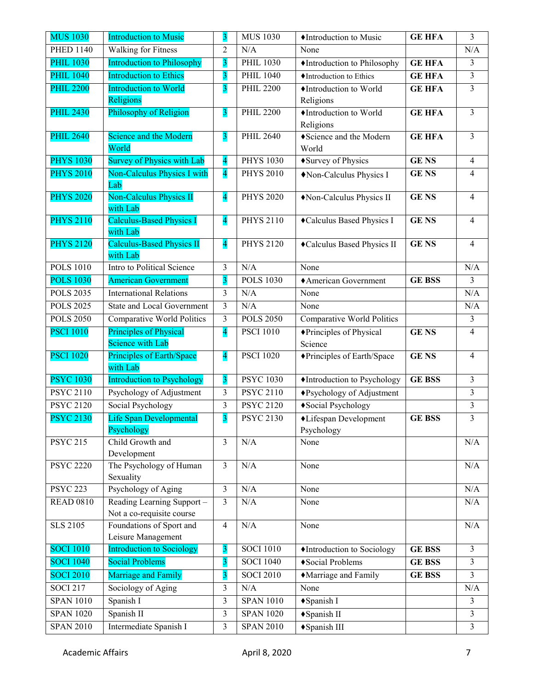| <b>MUS 1030</b>               | <b>Introduction to Music</b>                      | 3                       | <b>MUS 1030</b>  | ♦ Introduction to Music             | <b>GE HFA</b> | 3                        |
|-------------------------------|---------------------------------------------------|-------------------------|------------------|-------------------------------------|---------------|--------------------------|
| <b>PHED 1140</b>              | Walking for Fitness                               | $\overline{2}$          | N/A              | None                                |               | N/A                      |
| <b>PHIL 1030</b>              | <b>Introduction to Philosophy</b>                 | $\overline{\mathbf{3}}$ | <b>PHIL 1030</b> | ♦ Introduction to Philosophy        | <b>GE HFA</b> | 3                        |
| <b>PHIL 1040</b>              | <b>Introduction to Ethics</b>                     | $\overline{\mathbf{3}}$ | <b>PHIL 1040</b> | ♦ Introduction to Ethics            | <b>GE HFA</b> | 3                        |
| <b>PHIL 2200</b>              | <b>Introduction to World</b>                      | $\overline{\mathbf{3}}$ | <b>PHIL 2200</b> | ♦Introduction to World              | <b>GE HFA</b> | 3                        |
|                               | Religions                                         |                         |                  | Religions                           |               |                          |
| <b>PHIL 2430</b>              | Philosophy of Religion                            | $\overline{\mathbf{3}}$ | <b>PHIL 2200</b> | Introduction to World<br>Religions  | <b>GE HFA</b> | 3                        |
| <b>PHIL 2640</b>              | Science and the Modern<br>World                   | $\overline{\mathbf{3}}$ | <b>PHIL 2640</b> | ◆Science and the Modern<br>World    | <b>GE HFA</b> | 3                        |
| <b>PHYS 1030</b>              | <b>Survey of Physics with Lab</b>                 | $\overline{\mathbf{4}}$ | <b>PHYS 1030</b> | ◆ Survey of Physics                 | <b>GENS</b>   | $\overline{4}$           |
| <b>PHYS 2010</b>              | Non-Calculus Physics I with                       | $\overline{\mathbf{4}}$ | <b>PHYS 2010</b> | Non-Calculus Physics I              | <b>GENS</b>   | $\overline{4}$           |
|                               | Lab                                               |                         |                  |                                     |               |                          |
| <b>PHYS 2020</b>              | <b>Non-Calculus Physics II</b><br>with Lab        | $\overline{\mathbf{4}}$ | <b>PHYS 2020</b> | Non-Calculus Physics II             | <b>GENS</b>   | $\overline{4}$           |
| <b>PHYS 2110</b>              | <b>Calculus-Based Physics I</b><br>with Lab       | $\overline{\mathbf{4}}$ | <b>PHYS 2110</b> | Calculus Based Physics I            | <b>GENS</b>   | 4                        |
| <b>PHYS 2120</b>              | <b>Calculus-Based Physics II</b><br>with Lab      | $\overline{\mathbf{4}}$ | <b>PHYS 2120</b> | Calculus Based Physics II           | <b>GENS</b>   | $\overline{\mathcal{A}}$ |
| <b>POLS 1010</b>              | Intro to Political Science                        | 3                       | N/A              | None                                |               | N/A                      |
| <b>POLS 1030</b>              | <b>American Government</b>                        | $\overline{\mathbf{3}}$ | <b>POLS 1030</b> | ◆ American Government               | <b>GE BSS</b> | 3                        |
| <b>POLS 2035</b>              | <b>International Relations</b>                    | $\mathfrak{Z}$          | N/A              | None                                |               | N/A                      |
| <b>POLS 2025</b>              | <b>State and Local Government</b>                 | $\overline{\mathbf{3}}$ | N/A              | None                                |               | N/A                      |
| <b>POLS 2050</b>              | <b>Comparative World Politics</b>                 | 3                       | <b>POLS 2050</b> | Comparative World Politics          |               | 3                        |
| <b>PSCI 1010</b>              | Principles of Physical<br><b>Science with Lab</b> | $\overline{\mathbf{4}}$ | <b>PSCI</b> 1010 | ◆Principles of Physical<br>Science  | <b>GENS</b>   | 4                        |
| <b>PSCI 1020</b>              | Principles of Earth/Space<br>with Lab             | $\overline{\mathbf{4}}$ | <b>PSCI 1020</b> | ◆Principles of Earth/Space          | <b>GENS</b>   | $\overline{4}$           |
| <b>PSYC 1030</b>              | <b>Introduction to Psychology</b>                 | $\overline{\mathbf{3}}$ | <b>PSYC 1030</b> | Introduction to Psychology          | <b>GE BSS</b> | 3                        |
| <b>PSYC 2110</b>              | Psychology of Adjustment                          | $\mathfrak{Z}$          | <b>PSYC 2110</b> | ◆Psychology of Adjustment           |               | 3                        |
| <b>PSYC 2120</b>              | Social Psychology                                 | 3                       | <b>PSYC 2120</b> | ◆ Social Psychology                 |               | 3                        |
| <b>PSYC 2130</b>              | Life Span Developmental<br>Psychology             | 3                       | <b>PSYC 2130</b> | ◆Lifespan Development<br>Psychology | <b>GE BSS</b> | 3                        |
| $\overline{\text{PSYC 2}}$ 15 | Child Growth and<br>Development                   | $\overline{\mathbf{3}}$ | N/A              | None                                |               | N/A                      |
| <b>PSYC 2220</b>              | The Psychology of Human<br>Sexuality              | $\mathfrak{Z}$          | N/A              | None                                |               | N/A                      |
| <b>PSYC 223</b>               | Psychology of Aging                               | $\overline{3}$          | N/A              | None                                |               | N/A                      |
| <b>READ 0810</b>              | Reading Learning Support -                        | 3                       | N/A              | None                                |               | N/A                      |
|                               | Not a co-requisite course                         |                         |                  |                                     |               |                          |
| <b>SLS 2105</b>               | Foundations of Sport and                          | $\overline{4}$          | N/A              | None                                |               | N/A                      |
|                               | Leisure Management                                |                         |                  |                                     |               |                          |
| <b>SOCI 1010</b>              | <b>Introduction to Sociology</b>                  | $\overline{\mathbf{3}}$ | <b>SOCI 1010</b> | Introduction to Sociology           | <b>GE BSS</b> | 3                        |
| <b>SOCI 1040</b>              | <b>Social Problems</b>                            | $\overline{\mathbf{3}}$ | <b>SOCI 1040</b> | ◆ Social Problems                   | <b>GE BSS</b> | 3                        |
| <b>SOCI 2010</b>              | Marriage and Family                               | 3                       | <b>SOCI 2010</b> | Marriage and Family                 | <b>GE BSS</b> | 3                        |
| <b>SOCI 217</b>               | Sociology of Aging                                | $\overline{\mathbf{3}}$ | N/A              | None                                |               | $\rm N/A$                |
| <b>SPAN 1010</b>              | Spanish I                                         | $\overline{\mathbf{3}}$ | <b>SPAN 1010</b> | ◆Spanish I                          |               | 3                        |
| <b>SPAN 1020</b>              | Spanish II                                        | 3                       | <b>SPAN 1020</b> | ◆Spanish II                         |               | 3                        |
| <b>SPAN 2010</b>              | Intermediate Spanish I                            | 3                       | <b>SPAN 2010</b> | ◆Spanish III                        |               | 3                        |